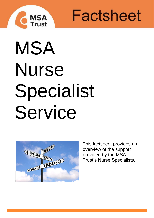

Factsheet

# MSA Nurse Specialist Service



This factsheet provides an overview of the support provided by the MSA Trust's Nurse Specialists.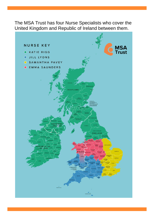The MSA Trust has four Nurse Specialists who cover the United Kingdom and Republic of Ireland between them.

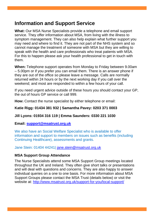### **Information and Support Service**

**What:** Our MSA Nurse Specialists provide a telephone and email support service. They offer information about MSA, from living with the illness to symptom management. They can also help explain what further support you may need and where to find it. They are not part of the NHS system and so cannot manage the treatment of someone with MSA but they are willing to speak with the health and care professionals who treat patients with MSA. For this to happen please ask your health professional to get in touch with them.

**When:** Telephone support operates from Monday to Friday between 9.00am – 5.00pm or if you prefer you can email them. There is an answer phone if they are out of the office so please leave a message. Calls are normally returned within 24 hours or by the next working day if you call over the weekend; and most are responded to within a few hours of your call.

If you need urgent advice outside of these hours you should contact your GP, the out of hours GP service or call 999.

**How:** Contact the nurse specialist by either telephone or email:

#### **Katie Rigg: 01434 381 932 | Samantha Pavey: 0203 371 0003**

#### **Jill Lyons: 01934 316 119 | Emma Saunders: 0330 221 1030**

#### **Email: [support@msatrust.org.uk](mailto:support@msatrust.org.uk)**

We also have an Social Welfare Specialist who is available to offer information and support to members on issues such as benefits (including Continuing Healthcare), assessments and grants.

Jane Stein: 01404 44241| [jane.stein@msatrust.org.uk](mailto:jane.stein@msatrust.org.uk)

#### **MSA Support Group Attendance**

The Nurse Specialists attend some MSA Support Group meetings located throughout the UK and Ireland. They often give short talks or presentations and will deal with questions and concerns. They are also happy to answer individual queries on a one to one basis. For more information about MSA Support Groups please contact the MSA Trust (details below) or visit the website at: <http://www.msatrust.org.uk/support-for-you/local-support/>